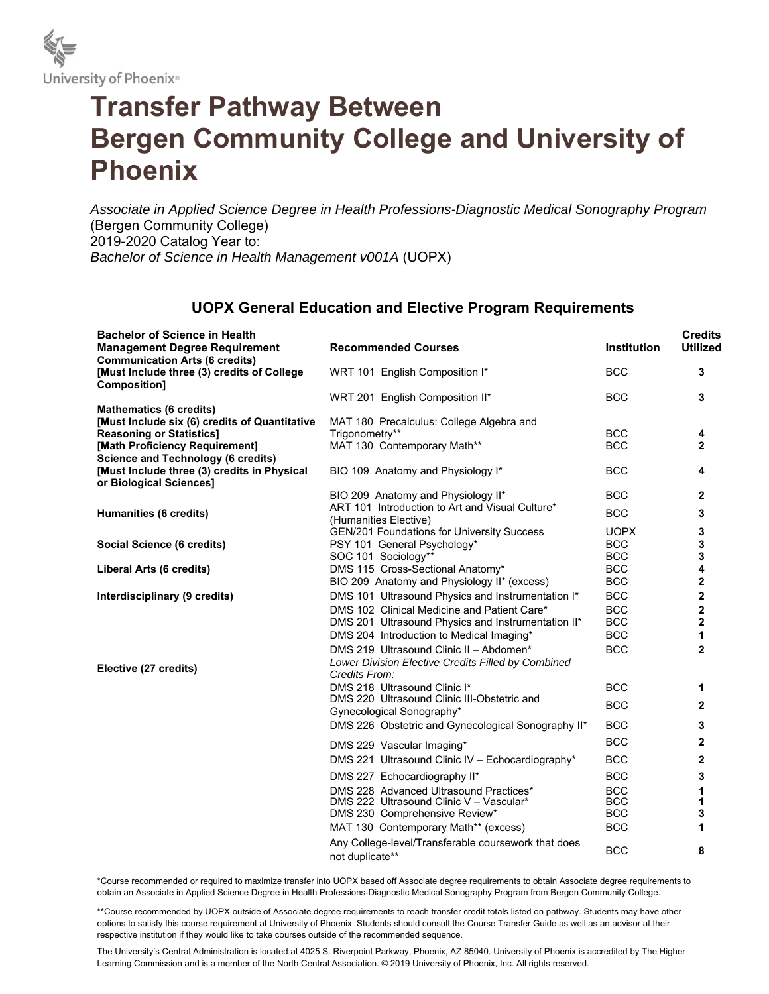

## **Transfer Pathway Between Bergen Community College and University of Phoenix**

*Associate in Applied Science Degree in Health Professions-Diagnostic Medical Sonography Program* (Bergen Community College) 2019-2020 Catalog Year to: *Bachelor of Science in Health Management v001A* (UOPX)

## **UOPX General Education and Elective Program Requirements**

| <b>Bachelor of Science in Health</b><br><b>Management Degree Requirement</b>                        | <b>Recommended Courses</b>                                               | <b>Institution</b> | <b>Credits</b><br><b>Utilized</b> |
|-----------------------------------------------------------------------------------------------------|--------------------------------------------------------------------------|--------------------|-----------------------------------|
| <b>Communication Arts (6 credits)</b><br>[Must Include three (3) credits of College<br>Composition] | WRT 101 English Composition I*                                           | <b>BCC</b>         | 3                                 |
| <b>Mathematics (6 credits)</b>                                                                      | WRT 201 English Composition II*                                          | <b>BCC</b>         | 3                                 |
| [Must Include six (6) credits of Quantitative<br><b>Reasoning or Statistics]</b>                    | MAT 180 Precalculus: College Algebra and<br>Trigonometry**               | <b>BCC</b>         | 4                                 |
| [Math Proficiency Requirement]<br><b>Science and Technology (6 credits)</b>                         | MAT 130 Contemporary Math**                                              | <b>BCC</b>         | $\mathbf{2}$                      |
| [Must Include three (3) credits in Physical<br>or Biological Sciences]                              | BIO 109 Anatomy and Physiology I*                                        | <b>BCC</b>         | 4                                 |
|                                                                                                     | BIO 209 Anatomy and Physiology II*                                       | <b>BCC</b>         | 2                                 |
| Humanities (6 credits)                                                                              | ART 101 Introduction to Art and Visual Culture*<br>(Humanities Elective) | <b>BCC</b>         | 3                                 |
|                                                                                                     | GEN/201 Foundations for University Success                               | <b>UOPX</b>        | 3                                 |
| Social Science (6 credits)                                                                          | PSY 101 General Psychology*                                              | <b>BCC</b>         | 3                                 |
|                                                                                                     | SOC 101 Sociology**                                                      | <b>BCC</b>         | 3                                 |
| Liberal Arts (6 credits)                                                                            | DMS 115 Cross-Sectional Anatomy*                                         | <b>BCC</b>         | 4                                 |
|                                                                                                     | BIO 209 Anatomy and Physiology II* (excess)                              | <b>BCC</b>         | 2                                 |
| Interdisciplinary (9 credits)                                                                       | DMS 101 Ultrasound Physics and Instrumentation I*                        | <b>BCC</b>         | $\overline{\mathbf{c}}$           |
|                                                                                                     | DMS 102 Clinical Medicine and Patient Care*                              | <b>BCC</b>         | $\overline{\mathbf{2}}$           |
|                                                                                                     | DMS 201 Ultrasound Physics and Instrumentation II*                       | <b>BCC</b>         | 2                                 |
|                                                                                                     | DMS 204 Introduction to Medical Imaging*                                 | <b>BCC</b>         | 1                                 |
|                                                                                                     | DMS 219 Ultrasound Clinic II - Abdomen*                                  | <b>BCC</b>         | $\overline{2}$                    |
| Elective (27 credits)                                                                               | Lower Division Elective Credits Filled by Combined<br>Credits From:      |                    |                                   |
|                                                                                                     | DMS 218 Ultrasound Clinic I*                                             | <b>BCC</b>         | 1                                 |
|                                                                                                     | DMS 220 Ultrasound Clinic III-Obstetric and<br>Gynecological Sonography* | <b>BCC</b>         | $\mathbf{2}$                      |
|                                                                                                     | DMS 226 Obstetric and Gynecological Sonography II*                       | <b>BCC</b>         | 3                                 |
|                                                                                                     | DMS 229 Vascular Imaging*                                                | <b>BCC</b>         | $\overline{2}$                    |
|                                                                                                     | DMS 221 Ultrasound Clinic IV - Echocardiography*                         | <b>BCC</b>         | $\overline{2}$                    |
|                                                                                                     | DMS 227 Echocardiography II*                                             | <b>BCC</b>         | 3                                 |
|                                                                                                     | DMS 228 Advanced Ultrasound Practices*                                   | <b>BCC</b>         | 1                                 |
|                                                                                                     | DMS 222 Ultrasound Clinic V - Vascular*                                  | <b>BCC</b>         | 1                                 |
|                                                                                                     | DMS 230 Comprehensive Review*                                            | <b>BCC</b>         | 3                                 |
|                                                                                                     | MAT 130 Contemporary Math** (excess)                                     | <b>BCC</b>         | 1                                 |
|                                                                                                     | Any College-level/Transferable coursework that does<br>not duplicate**   | <b>BCC</b>         | 8                                 |

\*Course recommended or required to maximize transfer into UOPX based off Associate degree requirements to obtain Associate degree requirements to obtain an Associate in Applied Science Degree in Health Professions-Diagnostic Medical Sonography Program from Bergen Community College.

\*\*Course recommended by UOPX outside of Associate degree requirements to reach transfer credit totals listed on pathway. Students may have other options to satisfy this course requirement at University of Phoenix. Students should consult the Course Transfer Guide as well as an advisor at their respective institution if they would like to take courses outside of the recommended sequence.

The University's Central Administration is located at 4025 S. Riverpoint Parkway, Phoenix, AZ 85040. University of Phoenix is accredited by The Higher Learning Commission and is a member of the North Central Association. © 2019 University of Phoenix, Inc. All rights reserved.